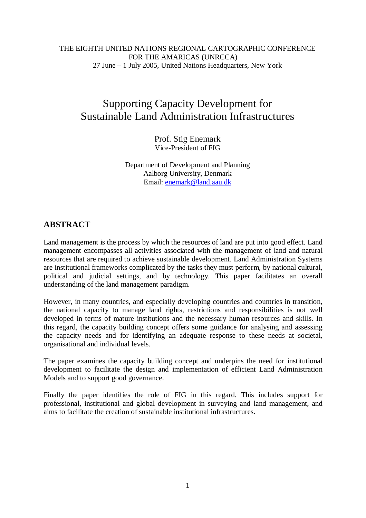## THE EIGHTH UNITED NATIONS REGIONAL CARTOGRAPHIC CONFERENCE FOR THE AMARICAS (UNRCCA) 27 June – 1 July 2005, United Nations Headquarters, New York

# Supporting Capacity Development for Sustainable Land Administration Infrastructures

Prof. Stig Enemark Vice-President of FIG

Department of Development and Planning Aalborg University, Denmark Email: enemark@land.aau.dk

## **ABSTRACT**

Land management is the process by which the resources of land are put into good effect. Land management encompasses all activities associated with the management of land and natural resources that are required to achieve sustainable development. Land Administration Systems are institutional frameworks complicated by the tasks they must perform, by national cultural, political and judicial settings, and by technology. This paper facilitates an overall understanding of the land management paradigm.

However, in many countries, and especially developing countries and countries in transition, the national capacity to manage land rights, restrictions and responsibilities is not well developed in terms of mature institutions and the necessary human resources and skills. In this regard, the capacity building concept offers some guidance for analysing and assessing the capacity needs and for identifying an adequate response to these needs at societal, organisational and individual levels.

The paper examines the capacity building concept and underpins the need for institutional development to facilitate the design and implementation of efficient Land Administration Models and to support good governance.

Finally the paper identifies the role of FIG in this regard. This includes support for professional, institutional and global development in surveying and land management, and aims to facilitate the creation of sustainable institutional infrastructures.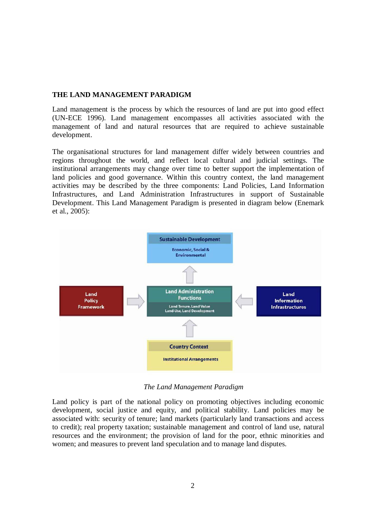#### **THE LAND MANAGEMENT PARADIGM**

Land management is the process by which the resources of land are put into good effect (UN-ECE 1996). Land management encompasses all activities associated with the management of land and natural resources that are required to achieve sustainable development.

The organisational structures for land management differ widely between countries and regions throughout the world, and reflect local cultural and judicial settings. The institutional arrangements may change over time to better support the implementation of land policies and good governance. Within this country context, the land management activities may be described by the three components: Land Policies, Land Information Infrastructures, and Land Administration Infrastructures in support of Sustainable Development. This Land Management Paradigm is presented in diagram below (Enemark et al., 2005):



 *The Land Management Paradigm*

Land policy is part of the national policy on promoting objectives including economic development, social justice and equity, and political stability. Land policies may be associated with: security of tenure; land markets (particularly land transactions and access to credit); real property taxation; sustainable management and control of land use, natural resources and the environment; the provision of land for the poor, ethnic minorities and women; and measures to prevent land speculation and to manage land disputes.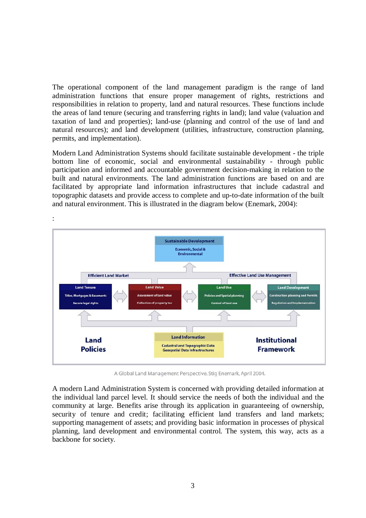The operational component of the land management paradigm is the range of land administration functions that ensure proper management of rights, restrictions and responsibilities in relation to property, land and natural resources. These functions include the areas of land tenure (securing and transferring rights in land); land value (valuation and taxation of land and properties); land-use (planning and control of the use of land and natural resources); and land development (utilities, infrastructure, construction planning, permits, and implementation).

Modern Land Administration Systems should facilitate sustainable development - the triple bottom line of economic, social and environmental sustainability - through public participation and informed and accountable government decision-making in relation to the built and natural environments. The land administration functions are based on and are facilitated by appropriate land information infrastructures that include cadastral and topographic datasets and provide access to complete and up-to-date information of the built and natural environment. This is illustrated in the diagram below (Enemark, 2004):



A Global Land Management Perspective. Stig Enemark, April 2004.

A modern Land Administration System is concerned with providing detailed information at the individual land parcel level. It should service the needs of both the individual and the community at large. Benefits arise through its application in guaranteeing of ownership, security of tenure and credit; facilitating efficient land transfers and land markets; supporting management of assets; and providing basic information in processes of physical planning, land development and environmental control. The system, this way, acts as a backbone for society.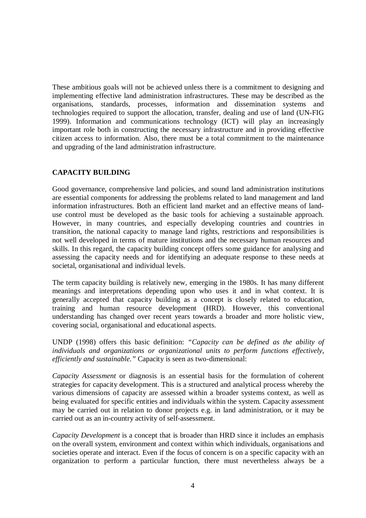These ambitious goals will not be achieved unless there is a commitment to designing and implementing effective land administration infrastructures. These may be described as the organisations, standards, processes, information and dissemination systems and technologies required to support the allocation, transfer, dealing and use of land (UN-FIG 1999). Information and communications technology (ICT) will play an increasingly important role both in constructing the necessary infrastructure and in providing effective citizen access to information. Also, there must be a total commitment to the maintenance and upgrading of the land administration infrastructure.

## **CAPACITY BUILDING**

Good governance, comprehensive land policies, and sound land administration institutions are essential components for addressing the problems related to land management and land information infrastructures. Both an efficient land market and an effective means of landuse control must be developed as the basic tools for achieving a sustainable approach. However, in many countries, and especially developing countries and countries in transition, the national capacity to manage land rights, restrictions and responsibilities is not well developed in terms of mature institutions and the necessary human resources and skills. In this regard, the capacity building concept offers some guidance for analysing and assessing the capacity needs and for identifying an adequate response to these needs at societal, organisational and individual levels.

The term capacity building is relatively new, emerging in the 1980s. It has many different meanings and interpretations depending upon who uses it and in what context. It is generally accepted that capacity building as a concept is closely related to education, training and human resource development (HRD). However, this conventional understanding has changed over recent years towards a broader and more holistic view, covering social, organisational and educational aspects.

UNDP (1998) offers this basic definition: *"Capacity can be defined as the ability of individuals and organizations or organizational units to perform functions effectively, efficiently and sustainable."* Capacity is seen as two-dimensional:

*Capacity Assessment* or diagnosis is an essential basis for the formulation of coherent strategies for capacity development. This is a structured and analytical process whereby the various dimensions of capacity are assessed within a broader systems context, as well as being evaluated for specific entities and individuals within the system. Capacity assessment may be carried out in relation to donor projects e.g. in land administration, or it may be carried out as an in-country activity of self-assessment.

*Capacity Development* is a concept that is broader than HRD since it includes an emphasis on the overall system, environment and context within which individuals, organisations and societies operate and interact. Even if the focus of concern is on a specific capacity with an organization to perform a particular function, there must nevertheless always be a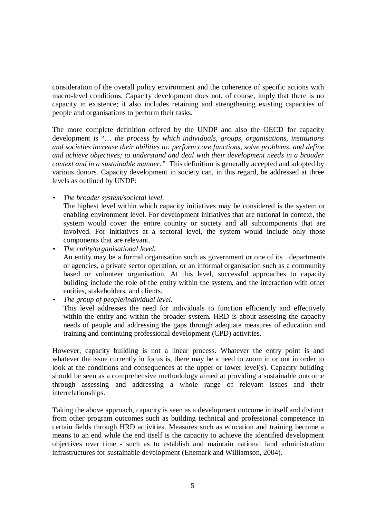consideration of the overall policy environment and the coherence of specific actions with macro-level conditions. Capacity development does not, of course, imply that there is no capacity in existence; it also includes retaining and strengthening existing capacities of people and organisations to perform their tasks.

The more complete definition offered by the UNDP and also the OECD for capacity development is "… *the process by which individuals, groups, organisations, institutions and societies increase their abilities to: perform core functions, solve problems, and define and achieve objectives; to understand and deal with their development needs in a broader context and in a sustainable manner."* This definition is generally accepted and adopted by various donors. Capacity development in society can, in this regard, be addressed at three levels as outlined by UNDP:

• *The broader system/societal level.*

The highest level within which capacity initiatives may be considered is the system or enabling environment level. For development initiatives that are national in context, the system would cover the entire country or society and all subcomponents that are involved. For initiatives at a sectoral level, the system would include only those components that are relevant.

- *The entity/organisational level.* An entity may be a formal organisation such as government or one of its departments or agencies, a private sector operation, or an informal organisation such as a community based or volunteer organisation. At this level, successful approaches to capacity building include the role of the entity within the system, and the interaction with other entities, stakeholders, and clients.
- *The group of people/individual level.*

This level addresses the need for individuals to function efficiently and effectively within the entity and within the broader system. HRD is about assessing the capacity needs of people and addressing the gaps through adequate measures of education and training and continuing professional development (CPD) activities.

However, capacity building is not a linear process. Whatever the entry point is and whatever the issue currently in focus is, there may be a need to zoom in or out in order to look at the conditions and consequences at the upper or lower level(s). Capacity building should be seen as a comprehensive methodology aimed at providing a sustainable outcome through assessing and addressing a whole range of relevant issues and their interrelationships.

Taking the above approach, capacity is seen as a development outcome in itself and distinct from other program outcomes such as building technical and professional competence in certain fields through HRD activities. Measures such as education and training become a means to an end while the end itself is the capacity to achieve the identified development objectives over time - such as to establish and maintain national land administration infrastructures for sustainable development (Enemark and Williamson, 2004).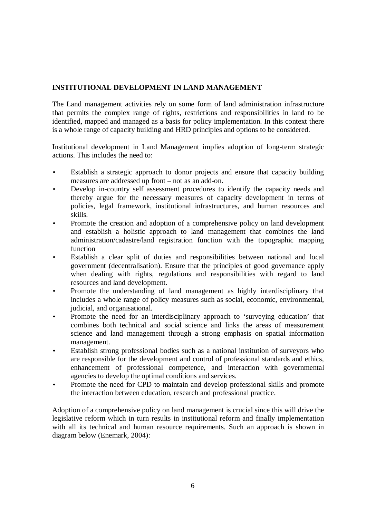## **INSTITUTIONAL DEVELOPMENT IN LAND MANAGEMENT**

The Land management activities rely on some form of land administration infrastructure that permits the complex range of rights, restrictions and responsibilities in land to be identified, mapped and managed as a basis for policy implementation. In this context there is a whole range of capacity building and HRD principles and options to be considered.

Institutional development in Land Management implies adoption of long-term strategic actions. This includes the need to:

- Establish a strategic approach to donor projects and ensure that capacity building measures are addressed up front – not as an add-on.
- Develop in-country self assessment procedures to identify the capacity needs and thereby argue for the necessary measures of capacity development in terms of policies, legal framework, institutional infrastructures, and human resources and skills.
- Promote the creation and adoption of a comprehensive policy on land development and establish a holistic approach to land management that combines the land administration/cadastre/land registration function with the topographic mapping function
- Establish a clear split of duties and responsibilities between national and local government (decentralisation). Ensure that the principles of good governance apply when dealing with rights, regulations and responsibilities with regard to land resources and land development.
- Promote the understanding of land management as highly interdisciplinary that includes a whole range of policy measures such as social, economic, environmental, judicial, and organisational.
- Promote the need for an interdisciplinary approach to 'surveying education' that combines both technical and social science and links the areas of measurement science and land management through a strong emphasis on spatial information management.
- Establish strong professional bodies such as a national institution of surveyors who are responsible for the development and control of professional standards and ethics, enhancement of professional competence, and interaction with governmental agencies to develop the optimal conditions and services.
- Promote the need for CPD to maintain and develop professional skills and promote the interaction between education, research and professional practice.

Adoption of a comprehensive policy on land management is crucial since this will drive the legislative reform which in turn results in institutional reform and finally implementation with all its technical and human resource requirements. Such an approach is shown in diagram below (Enemark, 2004):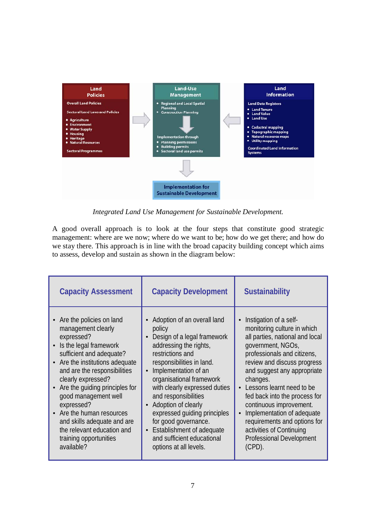

*Integrated Land Use Management for Sustainable Development.*

A good overall approach is to look at the four steps that constitute good strategic management: where are we now; where do we want to be; how do we get there; and how do we stay there. This approach is in line with the broad capacity building concept which aims to assess, develop and sustain as shown in the diagram below:

| <b>Capacity Assessment</b>                                                                                                                                                                                                                                                                                                                                                                                                           | <b>Capacity Development</b>                                                                                                                                                                                                                                                                                                                                                                                                                          | <b>Sustainability</b>                                                                                                                                                                                                                                                                                                                                                                                                                                     |
|--------------------------------------------------------------------------------------------------------------------------------------------------------------------------------------------------------------------------------------------------------------------------------------------------------------------------------------------------------------------------------------------------------------------------------------|------------------------------------------------------------------------------------------------------------------------------------------------------------------------------------------------------------------------------------------------------------------------------------------------------------------------------------------------------------------------------------------------------------------------------------------------------|-----------------------------------------------------------------------------------------------------------------------------------------------------------------------------------------------------------------------------------------------------------------------------------------------------------------------------------------------------------------------------------------------------------------------------------------------------------|
| • Are the policies on land<br>management clearly<br>expressed?<br>Is the legal framework<br>sufficient and adequate?<br>• Are the institutions adequate<br>and are the responsibilities<br>clearly expressed?<br>Are the quiding principles for<br>$\bullet$<br>good management well<br>expressed?<br>• Are the human resources<br>and skills adequate and are<br>the relevant education and<br>training opportunities<br>available? | Adoption of an overall land<br>policy<br>Design of a legal framework<br>addressing the rights,<br>restrictions and<br>responsibilities in land.<br>Implementation of an<br>$\bullet$<br>organisational framework<br>with clearly expressed duties<br>and responsibilities<br>Adoption of clearly<br>expressed guiding principles<br>for good governance.<br><b>Establishment of adequate</b><br>and sufficient educational<br>options at all levels. | Instigation of a self-<br>monitoring culture in which<br>all parties, national and local<br>government, NGOs,<br>professionals and citizens,<br>review and discuss progress<br>and suggest any appropriate<br>changes.<br>Lessons learnt need to be<br>fed back into the process for<br>continuous improvement.<br>Implementation of adequate<br>requirements and options for<br>activities of Continuing<br><b>Professional Development</b><br>$(CPD)$ . |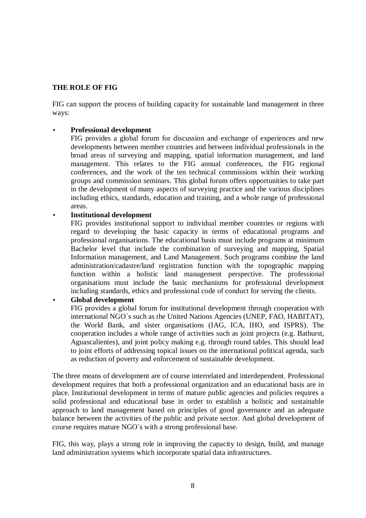#### **THE ROLE OF FIG**

FIG can support the process of building capacity for sustainable land management in three ways:

#### • **Professional development**

FIG provides a global forum for discussion and exchange of experiences and new developments between member countries and between individual professionals in the broad areas of surveying and mapping, spatial information management, and land management. This relates to the FIG annual conferences, the FIG regional conferences, and the work of the ten technical commissions within their working groups and commission seminars. This global forum offers opportunities to take part in the development of many aspects of surveying practice and the various disciplines including ethics, standards, education and training, and a whole range of professional areas.

#### • **Institutional development**

FIG provides institutional support to individual member countries or regions with regard to developing the basic capacity in terms of educational programs and professional organisations. The educational basis must include programs at minimum Bachelor level that include the combination of surveying and mapping, Spatial Information management, and Land Management. Such programs combine the land administration/cadastre/land registration function with the topographic mapping function within a holistic land management perspective. The professional organisations must include the basic mechanisms for professional development including standards, ethics and professional code of conduct for serving the clients.

## • **Global development**

FIG provides a global forum for institutional development through cooperation with international NGO´s such as the United Nations Agencies (UNEP, FAO, HABITAT), the World Bank, and sister organisations (IAG, ICA, IHO, and ISPRS). The cooperation includes a whole range of activities such as joint projects (e.g. Bathurst, Aguascalientes), and joint policy making e.g. through round tables. This should lead to joint efforts of addressing topical issues on the international political agenda, such as reduction of poverty and enforcement of sustainable development.

The three means of development are of course interrelated and interdependent. Professional development requires that both a professional organization and an educational basis are in place. Institutional development in terms of mature public agencies and policies requires a solid professional and educational base in order to establish a holistic and sustainable approach to land management based on principles of good governance and an adequate balance between the activities of the public and private sector. And global development of course requires mature NGO´s with a strong professional base.

FIG, this way, plays a strong role in improving the capacity to design, build, and manage land administration systems which incorporate spatial data infrastructures.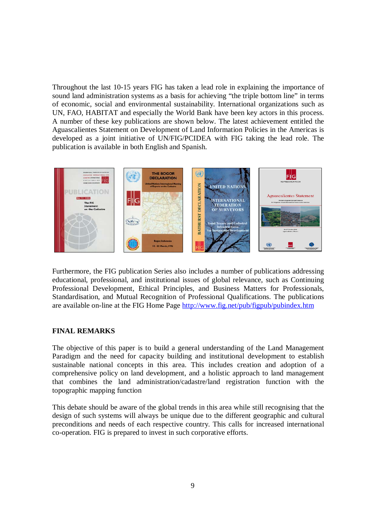Throughout the last 10-15 years FIG has taken a lead role in explaining the importance of sound land administration systems as a basis for achieving "the triple bottom line" in terms of economic, social and environmental sustainability. International organizations such as UN, FAO, HABITAT and especially the World Bank have been key actors in this process. A number of these key publications are shown below. The latest achievement entitled the Aguascalientes Statement on Development of Land Information Policies in the Americas is developed as a joint initiative of UN/FIG/PCIDEA with FIG taking the lead role. The publication is available in both English and Spanish.



Furthermore, the FIG publication Series also includes a number of publications addressing educational, professional, and institutional issues of global relevance, such as Continuing Professional Development, Ethical Principles, and Business Matters for Professionals, Standardisation, and Mutual Recognition of Professional Qualifications. The publications are available on-line at the FIG Home Page http://www.fig.net/pub/figpub/pubindex.htm

## **FINAL REMARKS**

The objective of this paper is to build a general understanding of the Land Management Paradigm and the need for capacity building and institutional development to establish sustainable national concepts in this area. This includes creation and adoption of a comprehensive policy on land development, and a holistic approach to land management that combines the land administration/cadastre/land registration function with the topographic mapping function

This debate should be aware of the global trends in this area while still recognising that the design of such systems will always be unique due to the different geographic and cultural preconditions and needs of each respective country. This calls for increased international co-operation. FIG is prepared to invest in such corporative efforts.